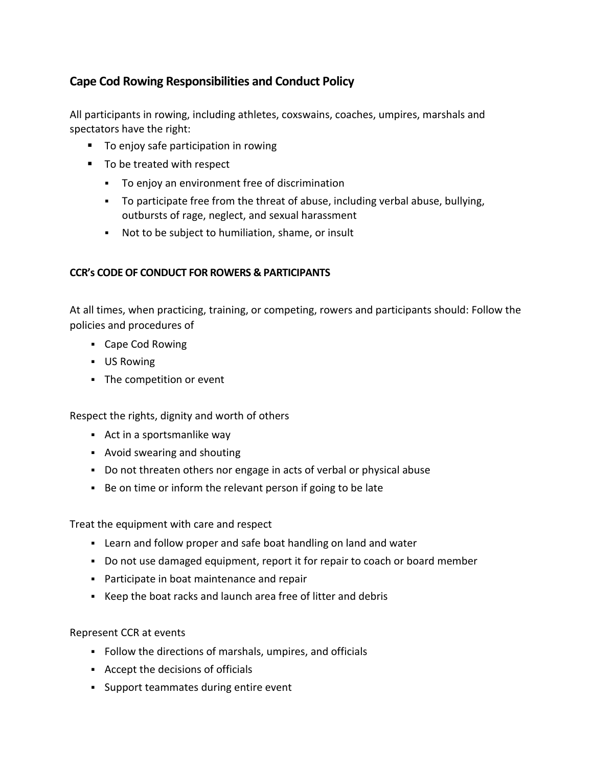## **Cape Cod Rowing Responsibilities and Conduct Policy**

All participants in rowing, including athletes, coxswains, coaches, umpires, marshals and spectators have the right:

- To enjoy safe participation in rowing
- To be treated with respect
	- To enjoy an environment free of discrimination
	- To participate free from the threat of abuse, including verbal abuse, bullying, outbursts of rage, neglect, and sexual harassment
	- Not to be subject to humiliation, shame, or insult

## **CCR's CODE OF CONDUCT FOR ROWERS & PARTICIPANTS**

At all times, when practicing, training, or competing, rowers and participants should: Follow the policies and procedures of

- Cape Cod Rowing
- US Rowing
- The competition or event

Respect the rights, dignity and worth of others

- Act in a sportsmanlike way
- Avoid swearing and shouting
- Do not threaten others nor engage in acts of verbal or physical abuse
- Be on time or inform the relevant person if going to be late

Treat the equipment with care and respect

- Learn and follow proper and safe boat handling on land and water
- Do not use damaged equipment, report it for repair to coach or board member
- Participate in boat maintenance and repair
- Keep the boat racks and launch area free of litter and debris

Represent CCR at events

- Follow the directions of marshals, umpires, and officials
- Accept the decisions of officials
- Support teammates during entire event